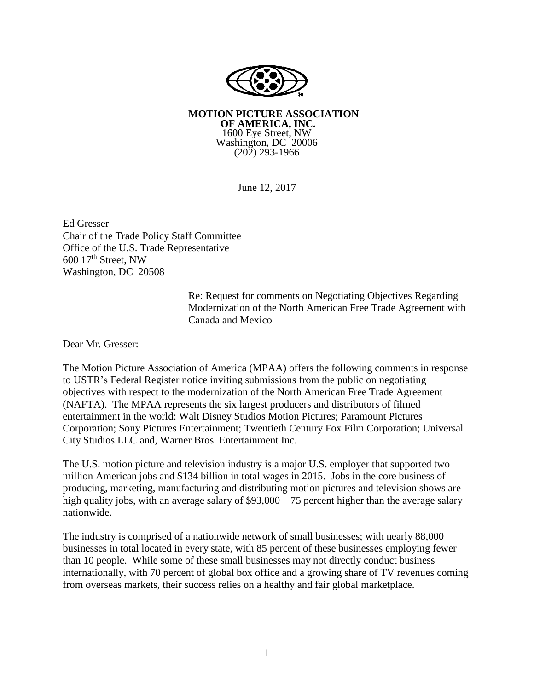

**MOTION PICTURE ASSOCIATION OF AMERICA, INC.** 1600 Eye Street, NW Washington, DC 20006 (202) 293-1966

June 12, 2017

Ed Gresser Chair of the Trade Policy Staff Committee Office of the U.S. Trade Representative  $600$   $17<sup>th</sup>$  Street, NW Washington, DC 20508

> Re: Request for comments on Negotiating Objectives Regarding Modernization of the North American Free Trade Agreement with Canada and Mexico

Dear Mr. Gresser:

The Motion Picture Association of America (MPAA) offers the following comments in response to USTR's Federal Register notice inviting submissions from the public on negotiating objectives with respect to the modernization of the North American Free Trade Agreement (NAFTA). The MPAA represents the six largest producers and distributors of filmed entertainment in the world: Walt Disney Studios Motion Pictures; Paramount Pictures Corporation; Sony Pictures Entertainment; Twentieth Century Fox Film Corporation; Universal City Studios LLC and, Warner Bros. Entertainment Inc.

The U.S. motion picture and television industry is a major U.S. employer that supported two million American jobs and \$134 billion in total wages in 2015. Jobs in the core business of producing, marketing, manufacturing and distributing motion pictures and television shows are high quality jobs, with an average salary of \$93,000 – 75 percent higher than the average salary nationwide.

The industry is comprised of a nationwide network of small businesses; with nearly 88,000 businesses in total located in every state, with 85 percent of these businesses employing fewer than 10 people. While some of these small businesses may not directly conduct business internationally, with 70 percent of global box office and a growing share of TV revenues coming from overseas markets, their success relies on a healthy and fair global marketplace.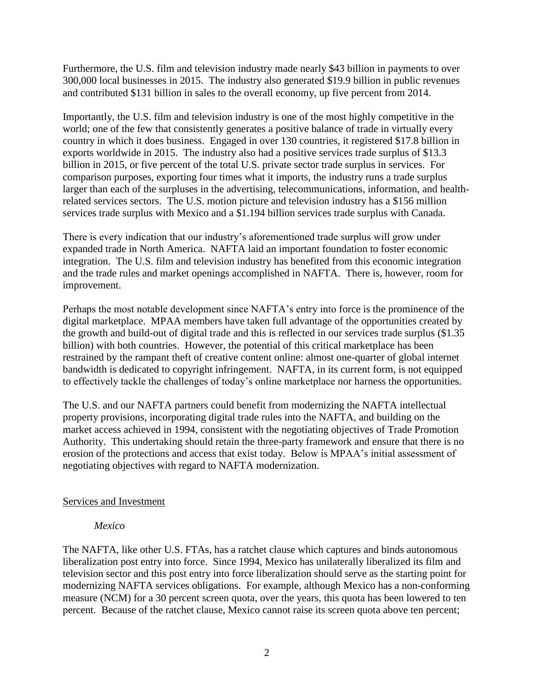Furthermore, the U.S. film and television industry made nearly \$43 billion in payments to over 300,000 local businesses in 2015. The industry also generated \$19.9 billion in public revenues and contributed \$131 billion in sales to the overall economy, up five percent from 2014.

Importantly, the U.S. film and television industry is one of the most highly competitive in the world; one of the few that consistently generates a positive balance of trade in virtually every country in which it does business. Engaged in over 130 countries, it registered \$17.8 billion in exports worldwide in 2015. The industry also had a positive services trade surplus of \$13.3 billion in 2015, or five percent of the total U.S. private sector trade surplus in services. For comparison purposes, exporting four times what it imports, the industry runs a trade surplus larger than each of the surpluses in the advertising, telecommunications, information, and healthrelated services sectors. The U.S. motion picture and television industry has a \$156 million services trade surplus with Mexico and a \$1.194 billion services trade surplus with Canada.

There is every indication that our industry's aforementioned trade surplus will grow under expanded trade in North America. NAFTA laid an important foundation to foster economic integration. The U.S. film and television industry has benefited from this economic integration and the trade rules and market openings accomplished in NAFTA. There is, however, room for improvement.

Perhaps the most notable development since NAFTA's entry into force is the prominence of the digital marketplace. MPAA members have taken full advantage of the opportunities created by the growth and build-out of digital trade and this is reflected in our services trade surplus (\$1.35 billion) with both countries. However, the potential of this critical marketplace has been restrained by the rampant theft of creative content online: almost one-quarter of global internet bandwidth is dedicated to copyright infringement. NAFTA, in its current form, is not equipped to effectively tackle the challenges of today's online marketplace nor harness the opportunities.

The U.S. and our NAFTA partners could benefit from modernizing the NAFTA intellectual property provisions, incorporating digital trade rules into the NAFTA, and building on the market access achieved in 1994, consistent with the negotiating objectives of Trade Promotion Authority. This undertaking should retain the three-party framework and ensure that there is no erosion of the protections and access that exist today. Below is MPAA's initial assessment of negotiating objectives with regard to NAFTA modernization.

# Services and Investment

#### *Mexico*

The NAFTA, like other U.S. FTAs, has a ratchet clause which captures and binds autonomous liberalization post entry into force. Since 1994, Mexico has unilaterally liberalized its film and television sector and this post entry into force liberalization should serve as the starting point for modernizing NAFTA services obligations. For example, although Mexico has a non-conforming measure (NCM) for a 30 percent screen quota, over the years, this quota has been lowered to ten percent. Because of the ratchet clause, Mexico cannot raise its screen quota above ten percent;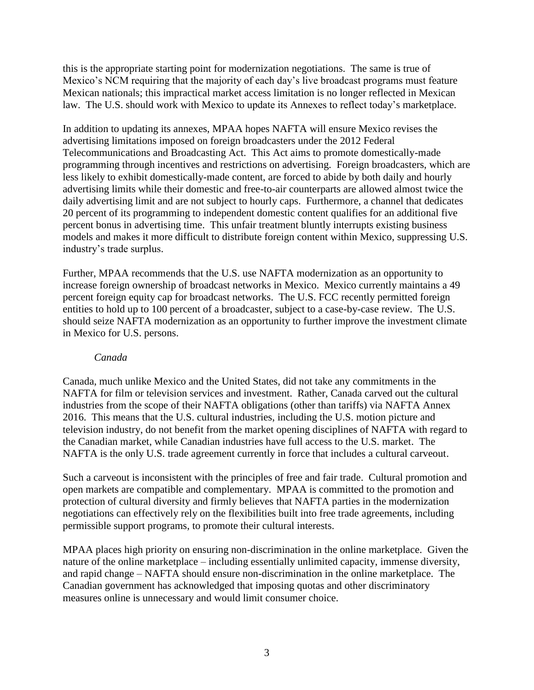this is the appropriate starting point for modernization negotiations. The same is true of Mexico's NCM requiring that the majority of each day's live broadcast programs must feature Mexican nationals; this impractical market access limitation is no longer reflected in Mexican law. The U.S. should work with Mexico to update its Annexes to reflect today's marketplace.

In addition to updating its annexes, MPAA hopes NAFTA will ensure Mexico revises the advertising limitations imposed on foreign broadcasters under the 2012 Federal Telecommunications and Broadcasting Act. This Act aims to promote domestically-made programming through incentives and restrictions on advertising. Foreign broadcasters, which are less likely to exhibit domestically-made content, are forced to abide by both daily and hourly advertising limits while their domestic and free-to-air counterparts are allowed almost twice the daily advertising limit and are not subject to hourly caps. Furthermore, a channel that dedicates 20 percent of its programming to independent domestic content qualifies for an additional five percent bonus in advertising time. This unfair treatment bluntly interrupts existing business models and makes it more difficult to distribute foreign content within Mexico, suppressing U.S. industry's trade surplus.

Further, MPAA recommends that the U.S. use NAFTA modernization as an opportunity to increase foreign ownership of broadcast networks in Mexico. Mexico currently maintains a 49 percent foreign equity cap for broadcast networks. The U.S. FCC recently permitted foreign entities to hold up to 100 percent of a broadcaster, subject to a case-by-case review. The U.S. should seize NAFTA modernization as an opportunity to further improve the investment climate in Mexico for U.S. persons.

#### *Canada*

Canada, much unlike Mexico and the United States, did not take any commitments in the NAFTA for film or television services and investment. Rather, Canada carved out the cultural industries from the scope of their NAFTA obligations (other than tariffs) via NAFTA Annex 2016. This means that the U.S. cultural industries, including the U.S. motion picture and television industry, do not benefit from the market opening disciplines of NAFTA with regard to the Canadian market, while Canadian industries have full access to the U.S. market. The NAFTA is the only U.S. trade agreement currently in force that includes a cultural carveout.

Such a carveout is inconsistent with the principles of free and fair trade. Cultural promotion and open markets are compatible and complementary. MPAA is committed to the promotion and protection of cultural diversity and firmly believes that NAFTA parties in the modernization negotiations can effectively rely on the flexibilities built into free trade agreements, including permissible support programs, to promote their cultural interests.

MPAA places high priority on ensuring non-discrimination in the online marketplace. Given the nature of the online marketplace – including essentially unlimited capacity, immense diversity, and rapid change – NAFTA should ensure non-discrimination in the online marketplace. The Canadian government has acknowledged that imposing quotas and other discriminatory measures online is unnecessary and would limit consumer choice.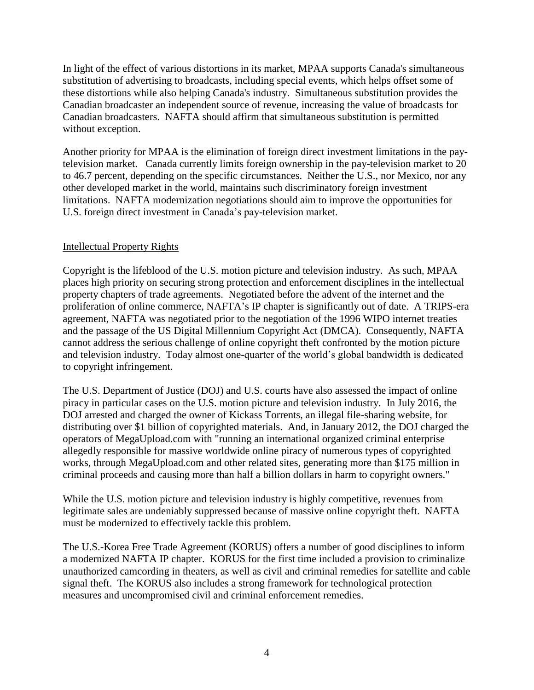In light of the effect of various distortions in its market, MPAA supports Canada's simultaneous substitution of advertising to broadcasts, including special events, which helps offset some of these distortions while also helping Canada's industry. Simultaneous substitution provides the Canadian broadcaster an independent source of revenue, increasing the value of broadcasts for Canadian broadcasters. NAFTA should affirm that simultaneous substitution is permitted without exception.

Another priority for MPAA is the elimination of foreign direct investment limitations in the paytelevision market. Canada currently limits foreign ownership in the pay-television market to 20 to 46.7 percent, depending on the specific circumstances. Neither the U.S., nor Mexico, nor any other developed market in the world, maintains such discriminatory foreign investment limitations. NAFTA modernization negotiations should aim to improve the opportunities for U.S. foreign direct investment in Canada's pay-television market.

## Intellectual Property Rights

Copyright is the lifeblood of the U.S. motion picture and television industry. As such, MPAA places high priority on securing strong protection and enforcement disciplines in the intellectual property chapters of trade agreements. Negotiated before the advent of the internet and the proliferation of online commerce, NAFTA's IP chapter is significantly out of date. A TRIPS-era agreement, NAFTA was negotiated prior to the negotiation of the 1996 WIPO internet treaties and the passage of the US Digital Millennium Copyright Act (DMCA). Consequently, NAFTA cannot address the serious challenge of online copyright theft confronted by the motion picture and television industry. Today almost one-quarter of the world's global bandwidth is dedicated to copyright infringement.

The U.S. Department of Justice (DOJ) and U.S. courts have also assessed the impact of online piracy in particular cases on the U.S. motion picture and television industry. In July 2016, the DOJ arrested and charged the owner of Kickass Torrents, an illegal file-sharing website, for distributing over \$1 billion of copyrighted materials. And, in January 2012, the DOJ charged the operators of MegaUpload.com with "running an international organized criminal enterprise allegedly responsible for massive worldwide online piracy of numerous types of copyrighted works, through MegaUpload.com and other related sites, generating more than \$175 million in criminal proceeds and causing more than half a billion dollars in harm to copyright owners."

While the U.S. motion picture and television industry is highly competitive, revenues from legitimate sales are undeniably suppressed because of massive online copyright theft. NAFTA must be modernized to effectively tackle this problem.

The U.S.-Korea Free Trade Agreement (KORUS) offers a number of good disciplines to inform a modernized NAFTA IP chapter. KORUS for the first time included a provision to criminalize unauthorized camcording in theaters, as well as civil and criminal remedies for satellite and cable signal theft. The KORUS also includes a strong framework for technological protection measures and uncompromised civil and criminal enforcement remedies.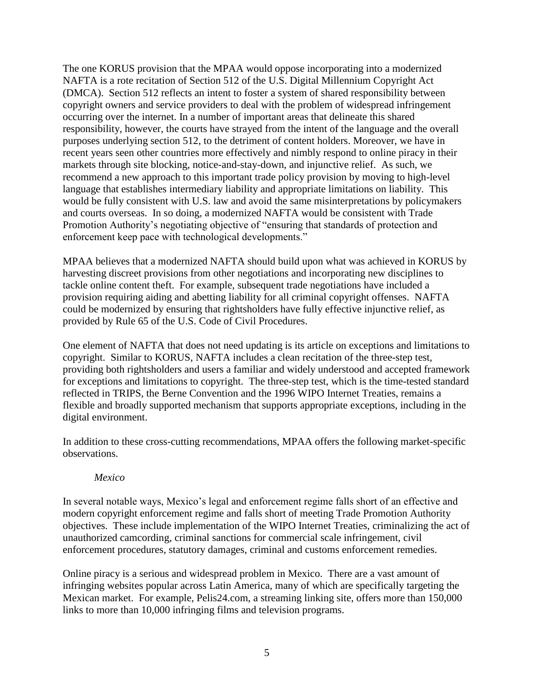The one KORUS provision that the MPAA would oppose incorporating into a modernized NAFTA is a rote recitation of Section 512 of the U.S. Digital Millennium Copyright Act (DMCA). Section 512 reflects an intent to foster a system of shared responsibility between copyright owners and service providers to deal with the problem of widespread infringement occurring over the internet. In a number of important areas that delineate this shared responsibility, however, the courts have strayed from the intent of the language and the overall purposes underlying section 512, to the detriment of content holders. Moreover, we have in recent years seen other countries more effectively and nimbly respond to online piracy in their markets through site blocking, notice-and-stay-down, and injunctive relief. As such, we recommend a new approach to this important trade policy provision by moving to high-level language that establishes intermediary liability and appropriate limitations on liability. This would be fully consistent with U.S. law and avoid the same misinterpretations by policymakers and courts overseas. In so doing, a modernized NAFTA would be consistent with Trade Promotion Authority's negotiating objective of "ensuring that standards of protection and enforcement keep pace with technological developments."

MPAA believes that a modernized NAFTA should build upon what was achieved in KORUS by harvesting discreet provisions from other negotiations and incorporating new disciplines to tackle online content theft. For example, subsequent trade negotiations have included a provision requiring aiding and abetting liability for all criminal copyright offenses. NAFTA could be modernized by ensuring that rightsholders have fully effective injunctive relief, as provided by Rule 65 of the U.S. Code of Civil Procedures.

One element of NAFTA that does not need updating is its article on exceptions and limitations to copyright. Similar to KORUS, NAFTA includes a clean recitation of the three-step test, providing both rightsholders and users a familiar and widely understood and accepted framework for exceptions and limitations to copyright. The three-step test, which is the time-tested standard reflected in TRIPS, the Berne Convention and the 1996 WIPO Internet Treaties, remains a flexible and broadly supported mechanism that supports appropriate exceptions, including in the digital environment.

In addition to these cross-cutting recommendations, MPAA offers the following market-specific observations.

#### *Mexico*

In several notable ways, Mexico's legal and enforcement regime falls short of an effective and modern copyright enforcement regime and falls short of meeting Trade Promotion Authority objectives. These include implementation of the WIPO Internet Treaties, criminalizing the act of unauthorized camcording, criminal sanctions for commercial scale infringement, civil enforcement procedures, statutory damages, criminal and customs enforcement remedies.

Online piracy is a serious and widespread problem in Mexico. There are a vast amount of infringing websites popular across Latin America, many of which are specifically targeting the Mexican market. For example, Pelis24.com, a streaming linking site, offers more than 150,000 links to more than 10,000 infringing films and television programs.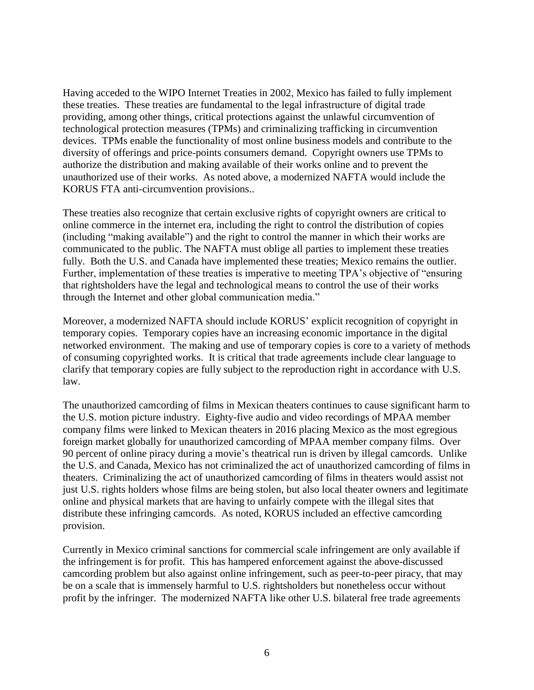Having acceded to the WIPO Internet Treaties in 2002, Mexico has failed to fully implement these treaties. These treaties are fundamental to the legal infrastructure of digital trade providing, among other things, critical protections against the unlawful circumvention of technological protection measures (TPMs) and criminalizing trafficking in circumvention devices. TPMs enable the functionality of most online business models and contribute to the diversity of offerings and price-points consumers demand. Copyright owners use TPMs to authorize the distribution and making available of their works online and to prevent the unauthorized use of their works. As noted above, a modernized NAFTA would include the KORUS FTA anti-circumvention provisions..

These treaties also recognize that certain exclusive rights of copyright owners are critical to online commerce in the internet era, including the right to control the distribution of copies (including "making available") and the right to control the manner in which their works are communicated to the public. The NAFTA must oblige all parties to implement these treaties fully. Both the U.S. and Canada have implemented these treaties; Mexico remains the outlier. Further, implementation of these treaties is imperative to meeting TPA's objective of "ensuring that rightsholders have the legal and technological means to control the use of their works through the Internet and other global communication media."

Moreover, a modernized NAFTA should include KORUS' explicit recognition of copyright in temporary copies. Temporary copies have an increasing economic importance in the digital networked environment. The making and use of temporary copies is core to a variety of methods of consuming copyrighted works. It is critical that trade agreements include clear language to clarify that temporary copies are fully subject to the reproduction right in accordance with U.S. law.

The unauthorized camcording of films in Mexican theaters continues to cause significant harm to the U.S. motion picture industry. Eighty-five audio and video recordings of MPAA member company films were linked to Mexican theaters in 2016 placing Mexico as the most egregious foreign market globally for unauthorized camcording of MPAA member company films. Over 90 percent of online piracy during a movie's theatrical run is driven by illegal camcords. Unlike the U.S. and Canada, Mexico has not criminalized the act of unauthorized camcording of films in theaters. Criminalizing the act of unauthorized camcording of films in theaters would assist not just U.S. rights holders whose films are being stolen, but also local theater owners and legitimate online and physical markets that are having to unfairly compete with the illegal sites that distribute these infringing camcords. As noted, KORUS included an effective camcording provision.

Currently in Mexico criminal sanctions for commercial scale infringement are only available if the infringement is for profit. This has hampered enforcement against the above-discussed camcording problem but also against online infringement, such as peer-to-peer piracy, that may be on a scale that is immensely harmful to U.S. rightsholders but nonetheless occur without profit by the infringer. The modernized NAFTA like other U.S. bilateral free trade agreements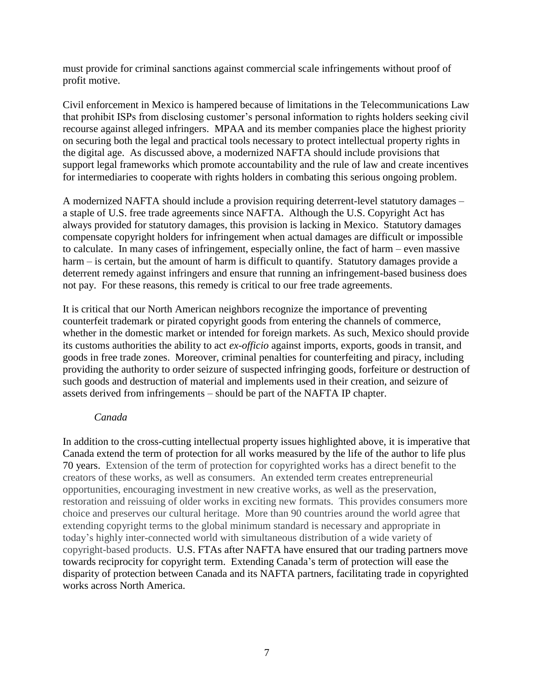must provide for criminal sanctions against commercial scale infringements without proof of profit motive.

Civil enforcement in Mexico is hampered because of limitations in the Telecommunications Law that prohibit ISPs from disclosing customer's personal information to rights holders seeking civil recourse against alleged infringers. MPAA and its member companies place the highest priority on securing both the legal and practical tools necessary to protect intellectual property rights in the digital age. As discussed above, a modernized NAFTA should include provisions that support legal frameworks which promote accountability and the rule of law and create incentives for intermediaries to cooperate with rights holders in combating this serious ongoing problem.

A modernized NAFTA should include a provision requiring deterrent-level statutory damages – a staple of U.S. free trade agreements since NAFTA. Although the U.S. Copyright Act has always provided for statutory damages, this provision is lacking in Mexico. Statutory damages compensate copyright holders for infringement when actual damages are difficult or impossible to calculate. In many cases of infringement, especially online, the fact of harm – even massive harm – is certain, but the amount of harm is difficult to quantify. Statutory damages provide a deterrent remedy against infringers and ensure that running an infringement-based business does not pay. For these reasons, this remedy is critical to our free trade agreements.

It is critical that our North American neighbors recognize the importance of preventing counterfeit trademark or pirated copyright goods from entering the channels of commerce, whether in the domestic market or intended for foreign markets. As such, Mexico should provide its customs authorities the ability to act *ex-officio* against imports, exports, goods in transit, and goods in free trade zones. Moreover, criminal penalties for counterfeiting and piracy, including providing the authority to order seizure of suspected infringing goods, forfeiture or destruction of such goods and destruction of material and implements used in their creation, and seizure of assets derived from infringements – should be part of the NAFTA IP chapter.

#### *Canada*

In addition to the cross-cutting intellectual property issues highlighted above, it is imperative that Canada extend the term of protection for all works measured by the life of the author to life plus 70 years. Extension of the term of protection for copyrighted works has a direct benefit to the creators of these works, as well as consumers. An extended term creates entrepreneurial opportunities, encouraging investment in new creative works, as well as the preservation, restoration and reissuing of older works in exciting new formats. This provides consumers more choice and preserves our cultural heritage. More than 90 countries around the world agree that extending copyright terms to the global minimum standard is necessary and appropriate in today's highly inter-connected world with simultaneous distribution of a wide variety of copyright-based products. U.S. FTAs after NAFTA have ensured that our trading partners move towards reciprocity for copyright term. Extending Canada's term of protection will ease the disparity of protection between Canada and its NAFTA partners, facilitating trade in copyrighted works across North America.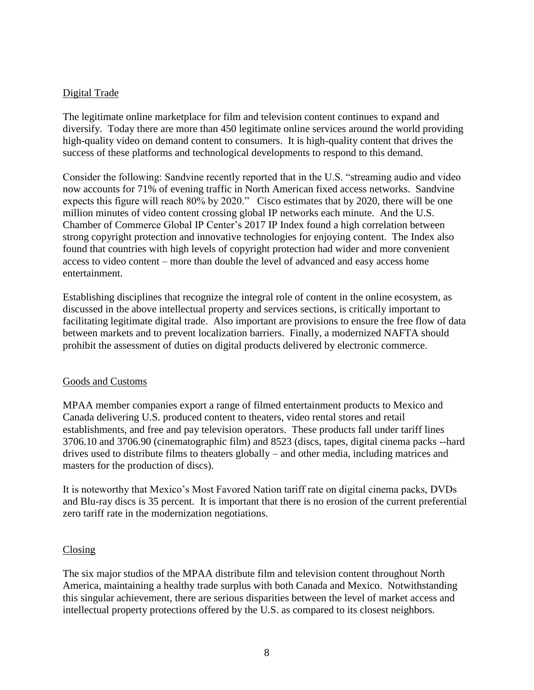### Digital Trade

The legitimate online marketplace for film and television content continues to expand and diversify. Today there are more than 450 legitimate online services around the world providing high-quality video on demand content to consumers. It is high-quality content that drives the success of these platforms and technological developments to respond to this demand.

Consider the following: Sandvine recently reported that in the U.S. "streaming audio and video now accounts for 71% of evening traffic in North American fixed access networks. Sandvine expects this figure will reach 80% by 2020." Cisco estimates that by 2020, there will be one million minutes of video content crossing global IP networks each minute. And the U.S. Chamber of Commerce Global IP Center's 2017 IP Index found a high correlation between strong copyright protection and innovative technologies for enjoying content. The Index also found that countries with high levels of copyright protection had wider and more convenient access to video content – more than double the level of advanced and easy access home entertainment.

Establishing disciplines that recognize the integral role of content in the online ecosystem, as discussed in the above intellectual property and services sections, is critically important to facilitating legitimate digital trade. Also important are provisions to ensure the free flow of data between markets and to prevent localization barriers. Finally, a modernized NAFTA should prohibit the assessment of duties on digital products delivered by electronic commerce.

#### Goods and Customs

MPAA member companies export a range of filmed entertainment products to Mexico and Canada delivering U.S. produced content to theaters, video rental stores and retail establishments, and free and pay television operators. These products fall under tariff lines 3706.10 and 3706.90 (cinematographic film) and 8523 (discs, tapes, digital cinema packs --hard drives used to distribute films to theaters globally – and other media, including matrices and masters for the production of discs).

It is noteworthy that Mexico's Most Favored Nation tariff rate on digital cinema packs, DVDs and Blu-ray discs is 35 percent. It is important that there is no erosion of the current preferential zero tariff rate in the modernization negotiations.

#### Closing

The six major studios of the MPAA distribute film and television content throughout North America, maintaining a healthy trade surplus with both Canada and Mexico. Notwithstanding this singular achievement, there are serious disparities between the level of market access and intellectual property protections offered by the U.S. as compared to its closest neighbors.